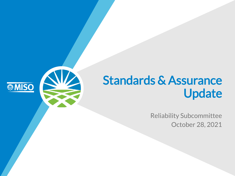### Standards & Assurance Update

**SIMISO** 

Reliability Subcommittee October 28, 2021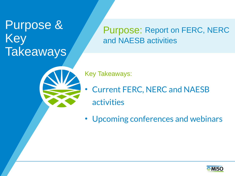### Purpose & Key **Takeaways**

### Purpose: Report on FERC, NERC and NAESB activities

Key Takeaways:

- Current FERC, NERC and NAESB activities
- Upcoming conferences and webinars

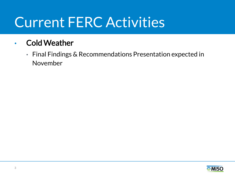# Current FERC Activities

### • Cold Weather

• Final Findings & Recommendations Presentation expected in November

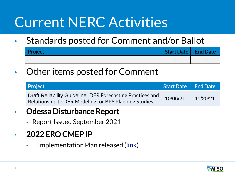# Current NERC Activities

• Standards posted for Comment and/or Ballot

| <b>Droject</b><br><b>VICCL</b> | <b>Start Date</b> | <b>Date</b> |
|--------------------------------|-------------------|-------------|
| $- -$                          | $- -$             | $- -$       |

• Other items posted for Comment

| <b>Project</b>                                                                                                      | Start Date   End Date |          |
|---------------------------------------------------------------------------------------------------------------------|-----------------------|----------|
| Draft Reliability Guideline: DER Forecasting Practices and<br>Relationship to DER Modeling for BPS Planning Studies | 10/06/21              | 11/20/21 |
| Adocco Dicturbance Donort                                                                                           |                       |          |

- Odessa Disturbance Report
	- Report Issued September 2021

### • 2022 ERO CMEP IP

• Implementation Plan released ([link\)](https://www.nerc.com/pa/comp/CAOneStopShop/ERO%20CMEP%20Implementation%20Plan%20v1.0%20-%202022.pdf)

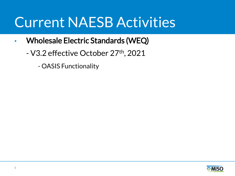### Current NAESB Activities

- Wholesale Electric Standards (WEQ)
	- V3.2 effective October 27th, 2021
		- OASIS Functionality

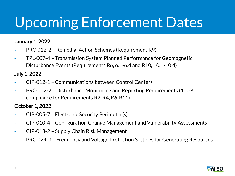# Upcoming Enforcement Dates

#### January 1, 2022

- PRC-012-2 Remedial Action Schemes (Requirement R9)
- TPL-007-4 Transmission System Planned Performance for Geomagnetic Disturbance Events (Requirements R6, 6.1-6.4 and R10, 10.1-10.4)

July 1, 2022

- CIP-012-1 Communications between Control Centers
- PRC-002-2 Disturbance Monitoring and Reporting Requirements (100% compliance for Requirements R2-R4, R6-R11)

#### October 1, 2022

- CIP-005-7 Electronic Security Perimeter(s)
- CIP-010-4 Configuration Change Management and Vulnerability Assessments
- CIP-013-2 Supply Chain Risk Management
- PRC-024-3 Frequency and Voltage Protection Settings for Generating Resources

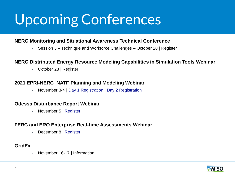# Upcoming Conferences

#### **NERC Monitoring and Situational Awareness Technical Conference**

• Session 3 – Technique and Workforce Challenges – October 28 | [Register](https://nerc.webex.com/mw3300/mywebex/default.do?nomenu=true&siteurl=nerc&service=6&rnd=0.026994097724233113&main_url=https%3A%2F%2Fnerc.webex.com%2Fec3300%2Feventcenter%2Fevent%2FeventAction.do%3FtheAction%3Ddetail%26%26%26EMK%3D4832534b00000005f4343e33d74467be3ac267affd5cd23b5b346fd724c068a9ca9b4e902c9604a8%26siteurl%3Dnerc%26confViewID%3D203551085972955422%26encryptTicket%3DSDJTSwAAAAWsvZUWx7Vx9ClMTf8zkMRf8eD4uxBRzXgtOLDJccPFVQ2%26)

#### **NERC Distributed Energy Resource Modeling Capabilities in Simulation Tools Webinar**

• October 28 | [Register](https://nerc.webex.com/nerc/onstage/g.php?MTID=efa7a5172f1db5936309f5c3a792f6b1b)

#### **2021 EPRI-NERC\_NATF Planning and Modeling Webinar**

• November 3-4 | [Day 1 Registration](https://natf.webex.com/natf/onstage/g.php?MTID=e7030a81e7f391b14bbbc31b6993ec56f) | [Day 2 Registration](https://natf.webex.com/natf/onstage/g.php?MTID=e8fc9d25141af5eccd54f2f7257b4ee56)

#### **Odessa Disturbance Report Webinar**

• November 5 | [Register](https://nerc.webex.com/nerc/onstage/g.php?MTID=e0c41501ce3c01883a405e71b7953e6c1)

#### **FERC and ERO Enterprise Real-time Assessments Webinar**

• December 8 | [Register](https://nerc.webex.com/nerc/onstage/g.php?MTID=eaa88e67e799e9e08568758f74fe1c00b)

#### **GridEx**

• November 16-17 | [Information](https://www.nerc.com/pa/CI/ESISAC/Pages/GridEx.aspx)